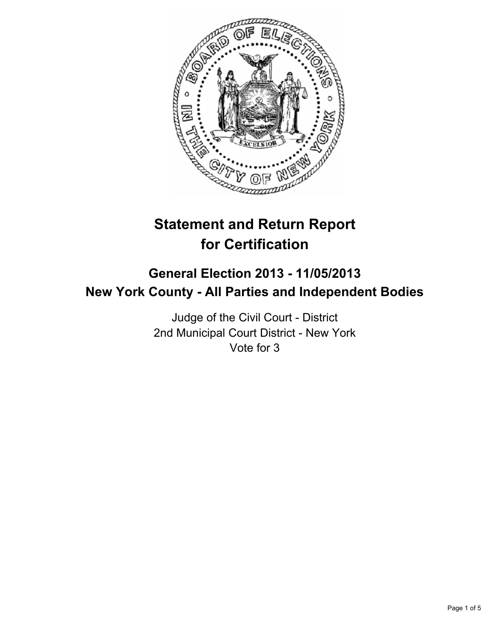

# **Statement and Return Report for Certification**

## **General Election 2013 - 11/05/2013 New York County - All Parties and Independent Bodies**

Judge of the Civil Court - District 2nd Municipal Court District - New York Vote for 3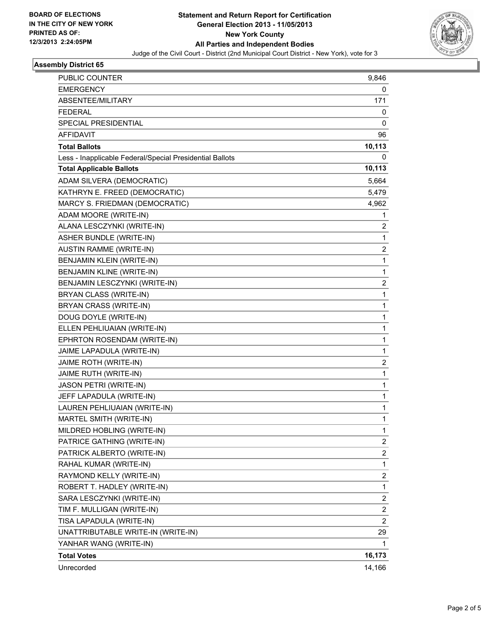

#### **Assembly District 65**

| PUBLIC COUNTER                                           | 9,846                   |
|----------------------------------------------------------|-------------------------|
| <b>EMERGENCY</b>                                         | 0                       |
| ABSENTEE/MILITARY                                        | 171                     |
| <b>FEDERAL</b>                                           | 0                       |
| SPECIAL PRESIDENTIAL                                     | 0                       |
| AFFIDAVIT                                                | 96                      |
| <b>Total Ballots</b>                                     | 10,113                  |
| Less - Inapplicable Federal/Special Presidential Ballots | 0                       |
| <b>Total Applicable Ballots</b>                          | 10,113                  |
| ADAM SILVERA (DEMOCRATIC)                                | 5,664                   |
| KATHRYN E. FREED (DEMOCRATIC)                            | 5,479                   |
| MARCY S. FRIEDMAN (DEMOCRATIC)                           | 4,962                   |
| ADAM MOORE (WRITE-IN)                                    | 1                       |
| ALANA LESCZYNKI (WRITE-IN)                               | 2                       |
| <b>ASHER BUNDLE (WRITE-IN)</b>                           | 1                       |
| AUSTIN RAMME (WRITE-IN)                                  | 2                       |
| BENJAMIN KLEIN (WRITE-IN)                                | $\mathbf{1}$            |
| <b>BENJAMIN KLINE (WRITE-IN)</b>                         | 1                       |
| BENJAMIN LESCZYNKI (WRITE-IN)                            | 2                       |
| BRYAN CLASS (WRITE-IN)                                   | 1                       |
| BRYAN CRASS (WRITE-IN)                                   | $\mathbf 1$             |
| DOUG DOYLE (WRITE-IN)                                    | 1                       |
| ELLEN PEHLIUAIAN (WRITE-IN)                              | 1                       |
| EPHRTON ROSENDAM (WRITE-IN)                              | 1                       |
| JAIME LAPADULA (WRITE-IN)                                | 1                       |
| JAIME ROTH (WRITE-IN)                                    | 2                       |
| JAIME RUTH (WRITE-IN)                                    | $\mathbf 1$             |
| JASON PETRI (WRITE-IN)                                   | 1                       |
| JEFF LAPADULA (WRITE-IN)                                 | 1                       |
| LAUREN PEHLIUAIAN (WRITE-IN)                             | $\mathbf 1$             |
| MARTEL SMITH (WRITE-IN)                                  | 1                       |
| MILDRED HOBLING (WRITE-IN)                               | 1                       |
| PATRICE GATHING (WRITE-IN)                               | 2                       |
| PATRICK ALBERTO (WRITE-IN)                               | 2                       |
| RAHAL KUMAR (WRITE-IN)                                   | $\mathbf{1}$            |
| RAYMOND KELLY (WRITE-IN)                                 | $\overline{\mathbf{c}}$ |
| ROBERT T. HADLEY (WRITE-IN)                              | 1                       |
| SARA LESCZYNKI (WRITE-IN)                                | 2                       |
| TIM F. MULLIGAN (WRITE-IN)                               | $\overline{\mathbf{c}}$ |
| TISA LAPADULA (WRITE-IN)                                 | $\overline{c}$          |
| UNATTRIBUTABLE WRITE-IN (WRITE-IN)                       | 29                      |
| YANHAR WANG (WRITE-IN)                                   | 1                       |
| <b>Total Votes</b>                                       | 16,173                  |
| Unrecorded                                               | 14,166                  |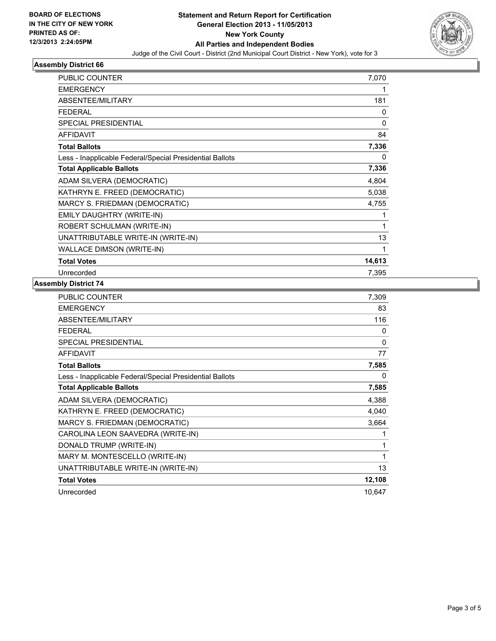

### **Assembly District 66**

| <b>PUBLIC COUNTER</b>                                    | 7,070    |
|----------------------------------------------------------|----------|
| <b>EMERGENCY</b>                                         |          |
| <b>ABSENTEE/MILITARY</b>                                 | 181      |
| <b>FEDERAL</b>                                           | 0        |
| <b>SPECIAL PRESIDENTIAL</b>                              | $\Omega$ |
| <b>AFFIDAVIT</b>                                         | 84       |
| <b>Total Ballots</b>                                     | 7,336    |
| Less - Inapplicable Federal/Special Presidential Ballots | 0        |
| <b>Total Applicable Ballots</b>                          | 7,336    |
| ADAM SILVERA (DEMOCRATIC)                                | 4,804    |
| KATHRYN E. FREED (DEMOCRATIC)                            | 5,038    |
| MARCY S. FRIEDMAN (DEMOCRATIC)                           | 4,755    |
| EMILY DAUGHTRY (WRITE-IN)                                |          |
| ROBERT SCHULMAN (WRITE-IN)                               | 1        |
| UNATTRIBUTABLE WRITE-IN (WRITE-IN)                       | 13       |
| <b>WALLACE DIMSON (WRITE-IN)</b>                         | 1        |
| <b>Total Votes</b>                                       | 14,613   |
| Unrecorded                                               | 7,395    |

#### **Assembly District 74**

| <b>PUBLIC COUNTER</b>                                    | 7,309    |
|----------------------------------------------------------|----------|
| <b>EMERGENCY</b>                                         | 83       |
| ABSENTEE/MILITARY                                        | 116      |
| <b>FEDERAL</b>                                           | 0        |
| <b>SPECIAL PRESIDENTIAL</b>                              | $\Omega$ |
| <b>AFFIDAVIT</b>                                         | 77       |
| <b>Total Ballots</b>                                     | 7,585    |
| Less - Inapplicable Federal/Special Presidential Ballots | 0        |
| <b>Total Applicable Ballots</b>                          | 7,585    |
| ADAM SILVERA (DEMOCRATIC)                                | 4,388    |
| KATHRYN E. FREED (DEMOCRATIC)                            | 4,040    |
| MARCY S. FRIEDMAN (DEMOCRATIC)                           | 3,664    |
| CAROLINA LEON SAAVEDRA (WRITE-IN)                        | 1        |
| DONALD TRUMP (WRITE-IN)                                  | 1        |
| MARY M. MONTESCELLO (WRITE-IN)                           | 1        |
| UNATTRIBUTABLE WRITE-IN (WRITE-IN)                       | 13       |
| <b>Total Votes</b>                                       | 12,108   |
| Unrecorded                                               | 10,647   |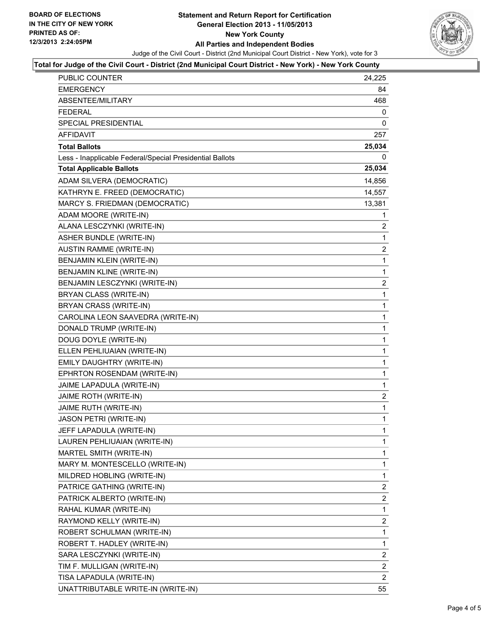

#### **Total for Judge of the Civil Court - District (2nd Municipal Court District - New York) - New York County**

| PUBLIC COUNTER                                           | 24,225         |
|----------------------------------------------------------|----------------|
| <b>EMERGENCY</b>                                         | 84             |
| ABSENTEE/MILITARY                                        | 468            |
| <b>FEDERAL</b>                                           | 0              |
| SPECIAL PRESIDENTIAL                                     | 0              |
| <b>AFFIDAVIT</b>                                         | 257            |
| <b>Total Ballots</b>                                     | 25,034         |
| Less - Inapplicable Federal/Special Presidential Ballots | 0              |
| <b>Total Applicable Ballots</b>                          | 25,034         |
| ADAM SILVERA (DEMOCRATIC)                                | 14,856         |
| KATHRYN E. FREED (DEMOCRATIC)                            | 14,557         |
| MARCY S. FRIEDMAN (DEMOCRATIC)                           | 13,381         |
| ADAM MOORE (WRITE-IN)                                    | 1              |
| ALANA LESCZYNKI (WRITE-IN)                               | $\overline{2}$ |
| <b>ASHER BUNDLE (WRITE-IN)</b>                           | 1              |
| <b>AUSTIN RAMME (WRITE-IN)</b>                           | 2              |
| BENJAMIN KLEIN (WRITE-IN)                                | 1              |
| BENJAMIN KLINE (WRITE-IN)                                | 1              |
| BENJAMIN LESCZYNKI (WRITE-IN)                            | $\overline{2}$ |
| BRYAN CLASS (WRITE-IN)                                   | 1              |
| BRYAN CRASS (WRITE-IN)                                   | 1              |
| CAROLINA LEON SAAVEDRA (WRITE-IN)                        | 1              |
| DONALD TRUMP (WRITE-IN)                                  | 1              |
| DOUG DOYLE (WRITE-IN)                                    | 1              |
| ELLEN PEHLIUAIAN (WRITE-IN)                              | 1              |
| EMILY DAUGHTRY (WRITE-IN)                                | 1              |
| EPHRTON ROSENDAM (WRITE-IN)                              | 1              |
| JAIME LAPADULA (WRITE-IN)                                | 1              |
| JAIME ROTH (WRITE-IN)                                    | $\overline{2}$ |
| JAIME RUTH (WRITE-IN)                                    | $\mathbf 1$    |
| JASON PETRI (WRITE-IN)                                   | 1              |
| JEFF LAPADULA (WRITE-IN)                                 | $\mathbf{1}$   |
| LAUREN PEHLIUAIAN (WRITE-IN)                             | 1              |
| MARTEL SMITH (WRITE-IN)                                  | 1              |
| MARY M. MONTESCELLO (WRITE-IN)                           | 1              |
| MILDRED HOBLING (WRITE-IN)                               | 1              |
| PATRICE GATHING (WRITE-IN)                               | 2              |
| PATRICK ALBERTO (WRITE-IN)                               | 2              |
| RAHAL KUMAR (WRITE-IN)                                   | 1              |
| RAYMOND KELLY (WRITE-IN)                                 | 2              |
| ROBERT SCHULMAN (WRITE-IN)                               | 1              |
| ROBERT T. HADLEY (WRITE-IN)                              | 1              |
| SARA LESCZYNKI (WRITE-IN)                                | 2              |
| TIM F. MULLIGAN (WRITE-IN)                               | 2              |
| TISA LAPADULA (WRITE-IN)                                 | 2              |
| UNATTRIBUTABLE WRITE-IN (WRITE-IN)                       | 55             |
|                                                          |                |